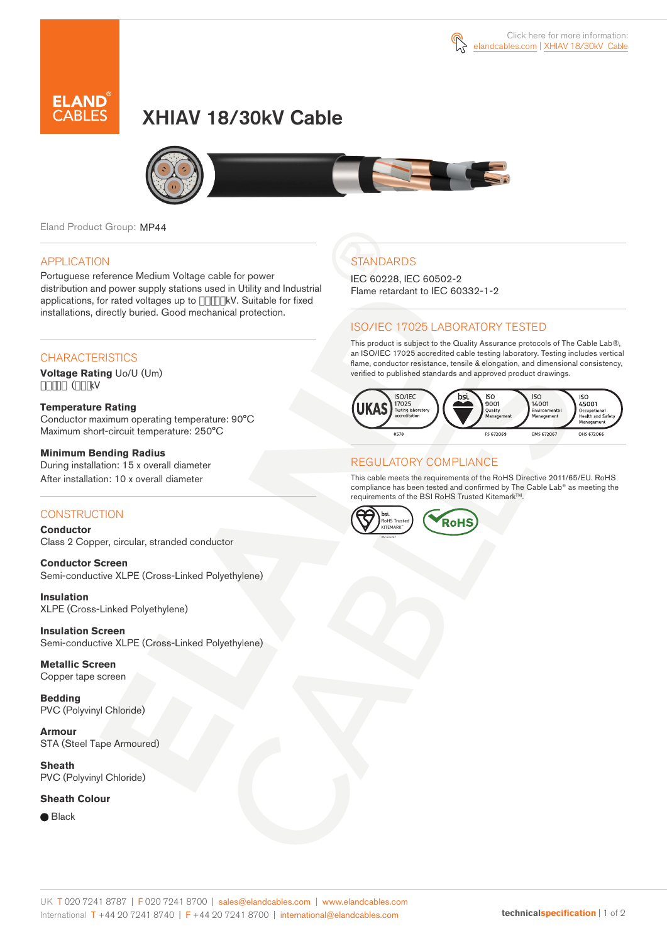

# XHIAV 18/30kV Cable



Eland Product Group: MP44

#### APPLICATION

Portuguese reference Medium Voltage cable for power distribution and power supply stations used in Utility and Industrial applications, for rated voltages up to  $#$ \* !%" kV. Suitable for fixed installations, directly buried. Good mechanical protection.

### **CHARACTERISTICS**

**Voltage Rating** Uo/U (Um) #\*!%" (%(fkV

**Temperature Rating**  Conductor maximum operating temperature: 90°C Maximum short-circuit temperature: 250°C

**Minimum Bending Radius**  During installation: 15 x overall diameter

After installation: 10 x overall diameter

### **CONSTRUCTION**

**Conductor**  Class 2 Copper, circular, stranded conductor

**Conductor Screen** Semi-conductive XLPE (Cross-Linked Polyethylene)

**Insulation** XLPE (Cross-Linked Polyethylene)

**Insulation Screen** Semi-conductive XLPE (Cross-Linked Polyethylene)

**Metallic Screen**  Copper tape screen

**Bedding** PVC (Polyvinyl Chloride)

**Armour** STA (Steel Tape Armoured)

**Sheath** PVC (Polyvinyl Chloride)

**Sheath Colour** 

● Black

## **STANDARDS**

IEC 60228, IEC 60502-2 Flame retardant to IEC 60332-1-2

### ISO/IEC 17025 LABORATORY TESTED

This product is subject to the Quality Assurance protocols of The Cable Lab®, an ISO/IEC 17025 accredited cable testing laboratory. Testing includes vertical flame, conductor resistance, tensile & elongation, and dimensional consistency, verified to published standards and approved product drawings.



### REGULATORY COMPLIANCE

This cable meets the requirements of the RoHS Directive 2011/65/EU. RoHS compliance has been tested and confirmed by The Cable Lab® as meeting the requirements of the BSI RoHS Trusted Kitemark™